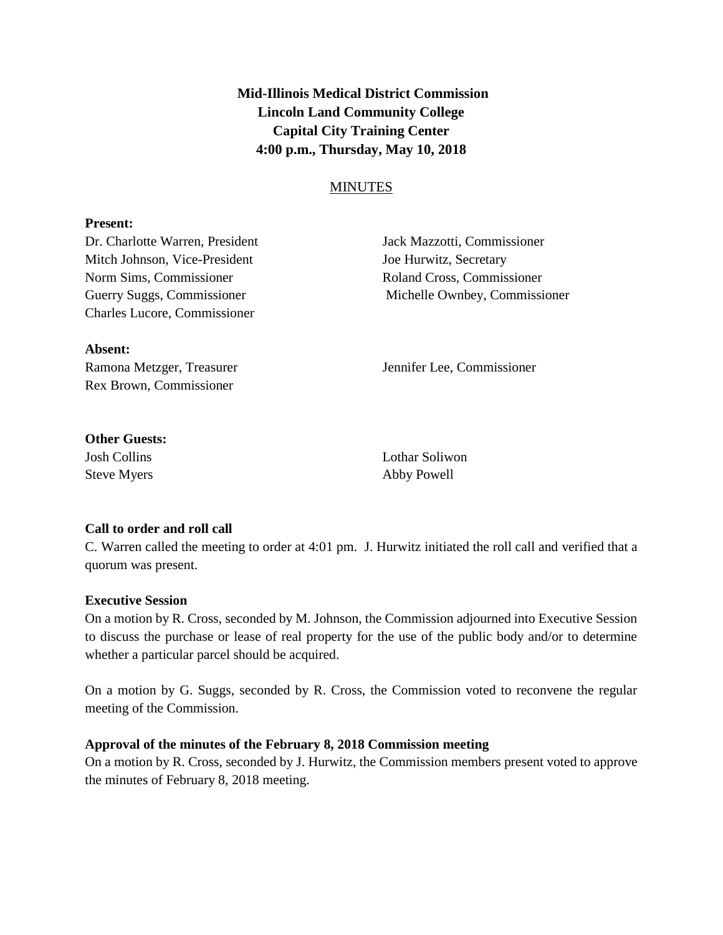**Mid-Illinois Medical District Commission Lincoln Land Community College Capital City Training Center 4:00 p.m., Thursday, May 10, 2018**

# MINUTES

### **Present:**

Mitch Johnson, Vice-President Joe Hurwitz, Secretary Norm Sims, Commissioner and Roland Cross, Commissioner Charles Lucore, Commissioner

Dr. Charlotte Warren, President Jack Mazzotti, Commissioner Guerry Suggs, Commissioner Michelle Ownbey, Commissioner

#### **Absent:**

Rex Brown, Commissioner

Ramona Metzger, Treasurer **Immuniter Lee**, Commissioner

## **Other Guests:**

Steve Myers **Abby Powell** 

Josh Collins Lothar Soliwon

## **Call to order and roll call**

C. Warren called the meeting to order at 4:01 pm. J. Hurwitz initiated the roll call and verified that a quorum was present.

## **Executive Session**

On a motion by R. Cross, seconded by M. Johnson, the Commission adjourned into Executive Session to discuss the purchase or lease of real property for the use of the public body and/or to determine whether a particular parcel should be acquired.

On a motion by G. Suggs, seconded by R. Cross, the Commission voted to reconvene the regular meeting of the Commission.

## **Approval of the minutes of the February 8, 2018 Commission meeting**

On a motion by R. Cross, seconded by J. Hurwitz, the Commission members present voted to approve the minutes of February 8, 2018 meeting.